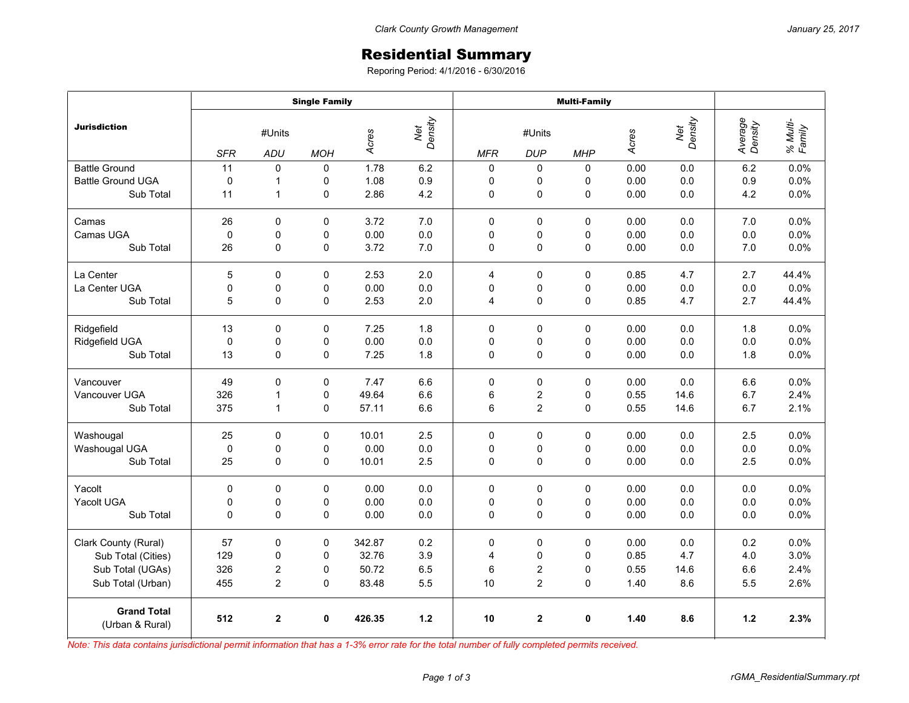## Residential Summary

Reporing Period: 4/1/2016 - 6/30/2016

|                                       | <b>Single Family</b> |              |             |                         |         | <b>Multi-Family</b> |                         |             |       |                |                    |                    |
|---------------------------------------|----------------------|--------------|-------------|-------------------------|---------|---------------------|-------------------------|-------------|-------|----------------|--------------------|--------------------|
| <b>Jurisdiction</b>                   | #Units               |              |             | Net<br>Density<br>Acres |         | #Units              |                         |             | Acres | Net<br>Density | Average<br>Density | % Multi-<br>Family |
|                                       | <b>SFR</b>           | ADU          | <b>MOH</b>  |                         |         | <b>MFR</b>          | <b>DUP</b>              | <b>MHP</b>  |       |                |                    |                    |
| <b>Battle Ground</b>                  | 11                   | $\mathbf 0$  | 0           | 1.78                    | 6.2     | 0                   | 0                       | 0           | 0.00  | 0.0            | 6.2                | 0.0%               |
| <b>Battle Ground UGA</b>              | 0                    | 1            | 0           | 1.08                    | 0.9     | 0                   | 0                       | 0           | 0.00  | 0.0            | 0.9                | 0.0%               |
| Sub Total                             | 11                   | 1            | 0           | 2.86                    | 4.2     | 0                   | 0                       | $\mathbf 0$ | 0.00  | 0.0            | 4.2                | 0.0%               |
| Camas                                 | 26                   | 0            | $\Omega$    | 3.72                    | 7.0     | $\Omega$            | $\Omega$                | 0           | 0.00  | 0.0            | 7.0                | 0.0%               |
| Camas UGA                             | 0                    | 0            | 0           | 0.00                    | $0.0\,$ | 0                   | 0                       | 0           | 0.00  | 0.0            | 0.0                | 0.0%               |
| Sub Total                             | 26                   | 0            | 0           | 3.72                    | 7.0     | $\mathbf 0$         | $\mathbf 0$             | $\Omega$    | 0.00  | 0.0            | 7.0                | 0.0%               |
| La Center                             | 5                    | $\mathbf 0$  | 0           | 2.53                    | 2.0     | 4                   | 0                       | 0           | 0.85  | 4.7            | 2.7                | 44.4%              |
| La Center UGA                         | $\mathsf 0$          | $\pmb{0}$    | 0           | 0.00                    | 0.0     | 0                   | 0                       | 0           | 0.00  | 0.0            | 0.0                | 0.0%               |
| Sub Total                             | 5                    | 0            | 0           | 2.53                    | 2.0     | 4                   | 0                       | 0           | 0.85  | 4.7            | 2.7                | 44.4%              |
| Ridgefield                            | 13                   | 0            | 0           | 7.25                    | 1.8     | 0                   | 0                       | 0           | 0.00  | 0.0            | 1.8                | 0.0%               |
| Ridgefield UGA                        | $\mathbf 0$          | $\mathbf 0$  | 0           | 0.00                    | 0.0     | 0                   | 0                       | 0           | 0.00  | 0.0            | 0.0                | 0.0%               |
| Sub Total                             | 13                   | 0            | 0           | 7.25                    | 1.8     | 0                   | $\pmb{0}$               | 0           | 0.00  | 0.0            | 1.8                | 0.0%               |
| Vancouver                             | 49                   | 0            | $\mathbf 0$ | 7.47                    | 6.6     | 0                   | $\pmb{0}$               | 0           | 0.00  | 0.0            | 6.6                | 0.0%               |
| Vancouver UGA                         | 326                  | 1            | 0           | 49.64                   | 6.6     | 6                   | $\overline{\mathbf{c}}$ | 0           | 0.55  | 14.6           | 6.7                | 2.4%               |
| Sub Total                             | 375                  | 1            | 0           | 57.11                   | 6.6     | 6                   | $\overline{2}$          | 0           | 0.55  | 14.6           | 6.7                | 2.1%               |
| Washougal                             | 25                   | $\Omega$     | $\Omega$    | 10.01                   | 2.5     | $\mathbf 0$         | $\mathbf 0$             | 0           | 0.00  | 0.0            | 2.5                | 0.0%               |
| Washougal UGA                         | $\pmb{0}$            | 0            | 0           | 0.00                    | $0.0\,$ | 0                   | 0                       | 0           | 0.00  | 0.0            | 0.0                | 0.0%               |
| Sub Total                             | 25                   | 0            | 0           | 10.01                   | 2.5     | $\Omega$            | 0                       | 0           | 0.00  | 0.0            | 2.5                | 0.0%               |
| Yacolt                                | 0                    | 0            | 0           | 0.00                    | 0.0     | 0                   | 0                       | 0           | 0.00  | 0.0            | 0.0                | 0.0%               |
| Yacolt UGA                            | 0                    | $\pmb{0}$    | 0           | 0.00                    | 0.0     | 0                   | 0                       | 0           | 0.00  | 0.0            | 0.0                | 0.0%               |
| Sub Total                             | 0                    | $\mathbf 0$  | 0           | 0.00                    | 0.0     | 0                   | $\mathbf 0$             | 0           | 0.00  | 0.0            | 0.0                | 0.0%               |
| Clark County (Rural)                  | 57                   | 0            | 0           | 342.87                  | 0.2     | 0                   | 0                       | 0           | 0.00  | 0.0            | 0.2                | 0.0%               |
| Sub Total (Cities)                    | 129                  | 0            | 0           | 32.76                   | 3.9     | 4                   | 0                       | 0           | 0.85  | 4.7            | 4.0                | 3.0%               |
| Sub Total (UGAs)                      | 326                  | 2            | 0           | 50.72                   | 6.5     | 6                   | $\overline{\mathbf{c}}$ | 0           | 0.55  | 14.6           | 6.6                | 2.4%               |
| Sub Total (Urban)                     | 455                  | 2            | 0           | 83.48                   | 5.5     | 10                  | 2                       | 0           | 1.40  | 8.6            | 5.5                | 2.6%               |
| <b>Grand Total</b><br>(Urban & Rural) | 512                  | $\mathbf{2}$ | 0           | 426.35                  | $1.2$   | 10                  | $\overline{2}$          | 0           | 1.40  | 8.6            | $1.2$              | 2.3%               |

*Note: This data contains jurisdictional permit information that has a 1-3% error rate for the total number of fully completed permits received.*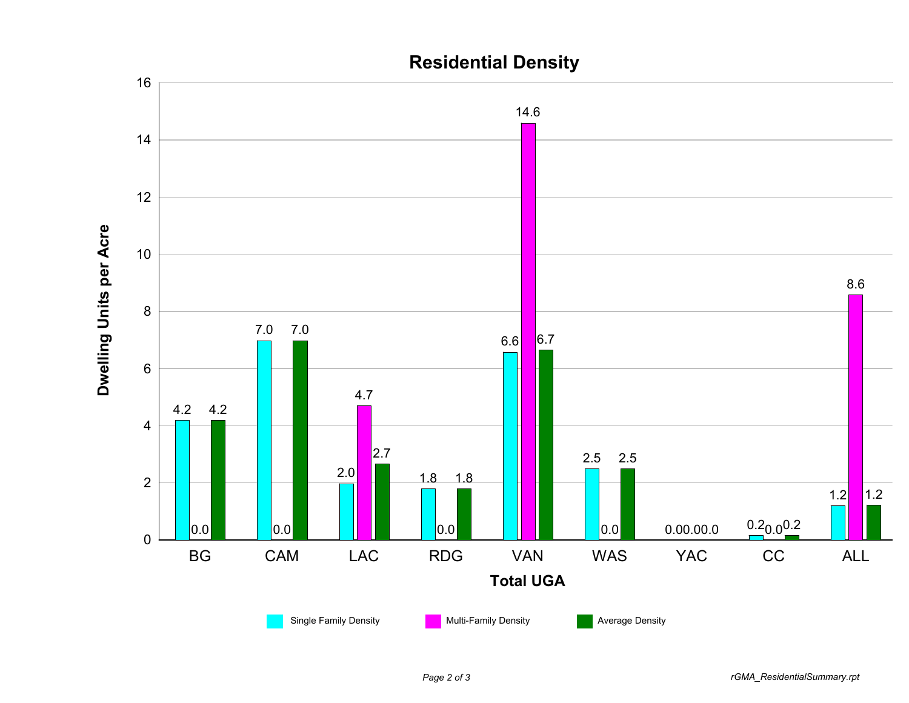

## **Residential Density**